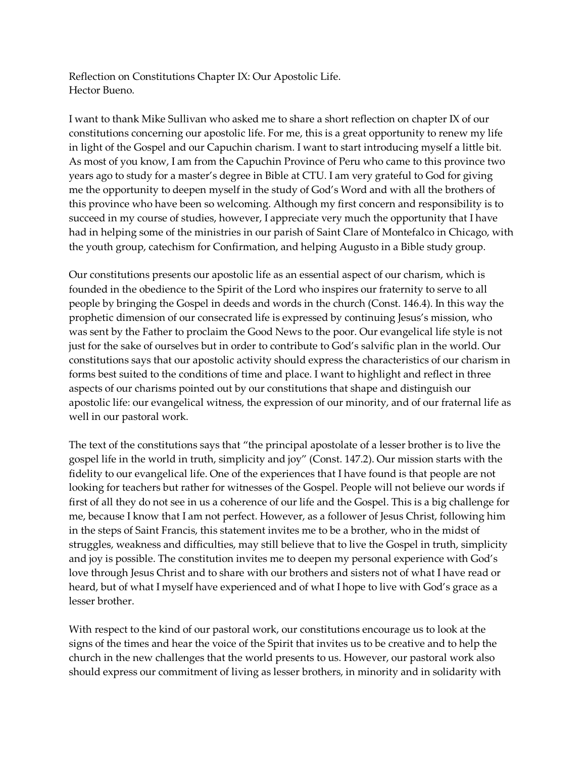Reflection on Constitutions Chapter IX: Our Apostolic Life. Hector Bueno.

I want to thank Mike Sullivan who asked me to share a short reflection on chapter IX of our constitutions concerning our apostolic life. For me, this is a great opportunity to renew my life in light of the Gospel and our Capuchin charism. I want to start introducing myself a little bit. As most of you know, I am from the Capuchin Province of Peru who came to this province two years ago to study for a master's degree in Bible at CTU. I am very grateful to God for giving me the opportunity to deepen myself in the study of God's Word and with all the brothers of this province who have been so welcoming. Although my first concern and responsibility is to succeed in my course of studies, however, I appreciate very much the opportunity that I have had in helping some of the ministries in our parish of Saint Clare of Montefalco in Chicago, with the youth group, catechism for Confirmation, and helping Augusto in a Bible study group.

Our constitutions presents our apostolic life as an essential aspect of our charism, which is founded in the obedience to the Spirit of the Lord who inspires our fraternity to serve to all people by bringing the Gospel in deeds and words in the church (Const. 146.4). In this way the prophetic dimension of our consecrated life is expressed by continuing Jesus's mission, who was sent by the Father to proclaim the Good News to the poor. Our evangelical life style is not just for the sake of ourselves but in order to contribute to God's salvific plan in the world. Our constitutions says that our apostolic activity should express the characteristics of our charism in forms best suited to the conditions of time and place. I want to highlight and reflect in three aspects of our charisms pointed out by our constitutions that shape and distinguish our apostolic life: our evangelical witness, the expression of our minority, and of our fraternal life as well in our pastoral work.

The text of the constitutions says that "the principal apostolate of a lesser brother is to live the gospel life in the world in truth, simplicity and joy" (Const. 147.2). Our mission starts with the fidelity to our evangelical life. One of the experiences that I have found is that people are not looking for teachers but rather for witnesses of the Gospel. People will not believe our words if first of all they do not see in us a coherence of our life and the Gospel. This is a big challenge for me, because I know that I am not perfect. However, as a follower of Jesus Christ, following him in the steps of Saint Francis, this statement invites me to be a brother, who in the midst of struggles, weakness and difficulties, may still believe that to live the Gospel in truth, simplicity and joy is possible. The constitution invites me to deepen my personal experience with God's love through Jesus Christ and to share with our brothers and sisters not of what I have read or heard, but of what I myself have experienced and of what I hope to live with God's grace as a lesser brother.

With respect to the kind of our pastoral work, our constitutions encourage us to look at the signs of the times and hear the voice of the Spirit that invites us to be creative and to help the church in the new challenges that the world presents to us. However, our pastoral work also should express our commitment of living as lesser brothers, in minority and in solidarity with